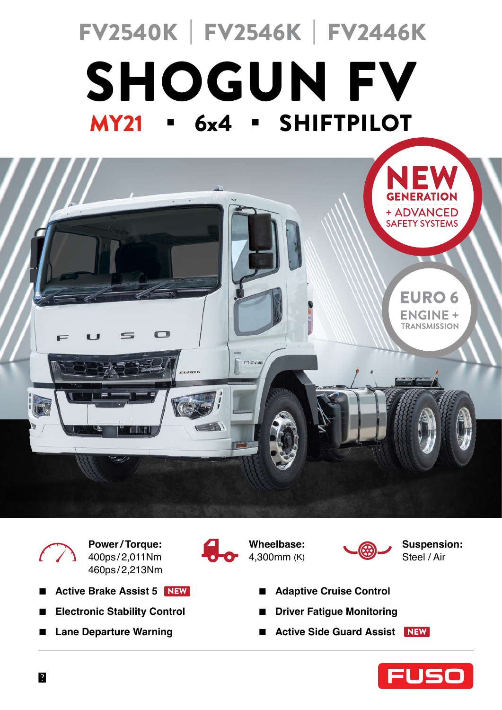# MY21 **.** 6x4 **.** SHIFTPILOT SHOGUN FV FV2540K | FV2546K | FV2446K





**Power / Torque:**  400ps / 2,011Nm 460ps / 2,213Nm

- Active Brake Assist 5 NEW
- **■ Electronic Stability Control**
- **■ Lane Departure Warning**







**Suspension:**  Steel / Air

- **■ Adaptive Cruise Control**
- **■ Driver Fatigue Monitoring**
- Active Side Guard Assist NEW

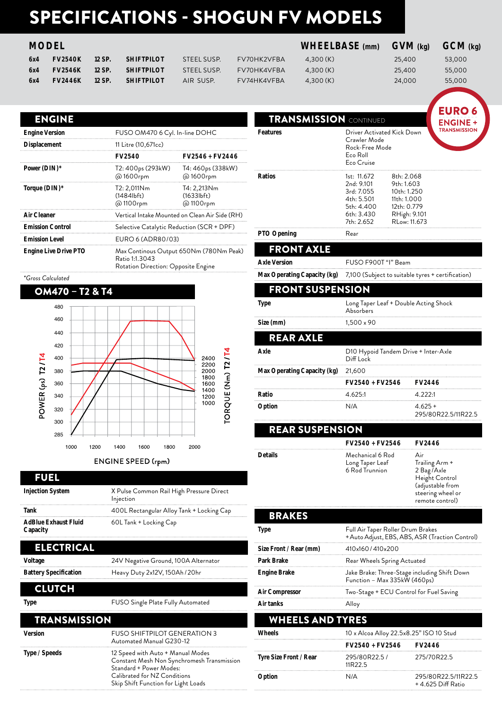## SPECIFICATIONS - SHOGUN FV MODELS

| 6x4 | <b>FV2540K</b> | 12 SP. | <b>SHIFTPILOT</b> | STEEL SUSP. | FV70HK2VFBA | 4.300 (K) | 25,400 | 53,000 |
|-----|----------------|--------|-------------------|-------------|-------------|-----------|--------|--------|
| 6×4 | <b>FV2546K</b> | 12 SP. | <b>SHIFTPILOT</b> | STEEL SUSP. | FV70HK4VFBA | 4.300 (K) | 25,400 | 55,000 |
| 6x4 | <b>FV2446K</b> | 12 SP. | <b>SHIFTPILOT</b> | AIR SUSP.   | FV74HK4VFBA | 4.300 (K) | 24,000 | 55,000 |

### **MODEL WHEELBASE (mm) GVM (kg) GCM (kg)**

#### ENGINE

| <b>Engine Version</b>        | FUSO OM470 6 Cyl. In-line DOHC                                                                   |                                       |
|------------------------------|--------------------------------------------------------------------------------------------------|---------------------------------------|
| <b>Displacement</b>          | 11 Litre (10,671cc)                                                                              |                                       |
|                              | <b>FV2540</b>                                                                                    | <b>FV2546 + FV2446</b>                |
| Power (DIN)*                 | T2: 400ps (293kW)<br>@1600rpm                                                                    | T4: 460ps (338kW)<br>@1600rpm         |
| Torque (DIN)*                | T2: 2,011Nm<br>(14841bf)<br>@1100rpm                                                             | T4: 2,213Nm<br>(1633lbf)<br>@ 1100rpm |
| Air Cleaner                  | Vertical Intake Mounted on Clean Air Side (RH)                                                   |                                       |
| <b>Emission Control</b>      | Selective Catalytic Reduction (SCR + DPF)                                                        |                                       |
| <b>Emission Level</b>        | EURO 6 (ADR80/03)                                                                                |                                       |
| <b>Engine Live Drive PTO</b> | Max Continous Output 650Nm (780Nm Peak)<br>Ratio 1:1.3043<br>Rotation Direction: Opposite Engine |                                       |

*\*Gross Calculated*





#### FUEL

| <b>Injection System</b>                 | X Pulse Common Rail High Pressure Direct<br>Injection |  |
|-----------------------------------------|-------------------------------------------------------|--|
| Tank                                    | 400L Rectangular Alloy Tank + Locking Cap             |  |
| <b>AdBlue Exhaust Fluid</b><br>Capacity | 60L Tank + Locking Cap                                |  |

#### ELECTRICAL

| Voltage                      | 24V Negative Ground, 100A Alternator |
|------------------------------|--------------------------------------|
| <b>Battery Specification</b> | Heavy Duty 2x12V, 150Ah / 20hr       |

#### CLUTCH

| Type                | FUSO Single Plate Fully Automated                                                                                                                                                 |
|---------------------|-----------------------------------------------------------------------------------------------------------------------------------------------------------------------------------|
| <b>TRANSMISSION</b> |                                                                                                                                                                                   |
| Version             | <b>FUSO SHIFTPILOT GENERATION 3</b><br>Automated Manual G230-12                                                                                                                   |
| Type / Speeds       | 12 Speed with Auto + Manual Modes<br>Constant Mesh Non Synchromesh Transmission<br>Standard + Power Modes:<br>Calibrated for NZ Conditions<br>Skip Shift Function for Light Loads |

| <b>TRANSMISSION</b> CONTINUED                                                                   | <b>EURO 6</b><br><b>ENGINE +</b>                                                                                                                                                                                                                                                                                                      |
|-------------------------------------------------------------------------------------------------|---------------------------------------------------------------------------------------------------------------------------------------------------------------------------------------------------------------------------------------------------------------------------------------------------------------------------------------|
| Crawler Mode<br>Eco Roll<br>Eco Cruise                                                          | <b>TRANSMISSION</b>                                                                                                                                                                                                                                                                                                                   |
| 1st: 11.672<br>2nd: 9.101<br>3rd: 7.055<br>4th: 5.501<br>5th: 4.400<br>6th: 3.430<br>7th: 2.652 |                                                                                                                                                                                                                                                                                                                                       |
| Rear                                                                                            |                                                                                                                                                                                                                                                                                                                                       |
|                                                                                                 |                                                                                                                                                                                                                                                                                                                                       |
|                                                                                                 |                                                                                                                                                                                                                                                                                                                                       |
|                                                                                                 |                                                                                                                                                                                                                                                                                                                                       |
| <b>FRONT SUSPENSION</b>                                                                         |                                                                                                                                                                                                                                                                                                                                       |
| Absorbers                                                                                       |                                                                                                                                                                                                                                                                                                                                       |
| 1,500 × 90                                                                                      |                                                                                                                                                                                                                                                                                                                                       |
|                                                                                                 |                                                                                                                                                                                                                                                                                                                                       |
| Diff Lock                                                                                       |                                                                                                                                                                                                                                                                                                                                       |
| 21,600                                                                                          |                                                                                                                                                                                                                                                                                                                                       |
|                                                                                                 | <b>FV2446</b>                                                                                                                                                                                                                                                                                                                         |
| 4.625:1                                                                                         | 4.222:1                                                                                                                                                                                                                                                                                                                               |
|                                                                                                 |                                                                                                                                                                                                                                                                                                                                       |
| N/A                                                                                             | 4.625 +<br>295/80R22.5/11R22.5                                                                                                                                                                                                                                                                                                        |
| <b>REAR SUSPENSION</b>                                                                          |                                                                                                                                                                                                                                                                                                                                       |
|                                                                                                 | Driver Activated Kick Down<br>Rock-Free Mode<br>8th: 2.068<br>9th: 1.603<br>10th: 1.250<br>11th: 1.000<br>12th: 0.779<br>RHigh: 9.101<br>RLow: 11.673<br>FUSO F900T "I" Beam<br>7,100 (Subject to suitable tyres + certification)<br>Long Taper Leaf + Double Acting Shock<br>D10 Hypoid Tandem Drive + Inter-Axle<br>FV2540 + FV2546 |

|         | <b>FV2540 + FV2546</b>                                | FV7446                                                                                                            |
|---------|-------------------------------------------------------|-------------------------------------------------------------------------------------------------------------------|
| Details | Mechanical 6 Rod<br>Long Taper Leaf<br>6 Rod Trunnion | Air<br>Trailing Arm +<br>2 Bag/Axle<br>Height Control<br>(adjustable from<br>steering wheel or<br>remote control) |
| RRAKFS  |                                                       |                                                                                                                   |

| Air tanks              | Alloy                                                                                |
|------------------------|--------------------------------------------------------------------------------------|
| Air Compressor         | Two-Stage + ECU Control for Fuel Saving                                              |
| <b>Engine Brake</b>    | Jake Brake: Three-Stage including Shift Down<br>Function - Max 335kW (460ps)         |
| Park Brake             | Rear Wheels Spring Actuated                                                          |
| Size Front / Rear (mm) | 410×160/410×200                                                                      |
|                        | Full Air Taper Roller Drum Brakes<br>+ Auto Adjust, EBS, ABS, ASR (Traction Control) |

#### WHEELS AND TYRES **Wheels** 10 x Alcoa Alloy 22.5x8.25" ISO 10 Stud **FV2540 + FV2546 FV2446 Tyre Size Front / Rear** 295/80R22.5 / 11R22.5 275/70R22.5 **Option** N/A 295/80R22.5/11R22.5 + 4.625 Diff Ratio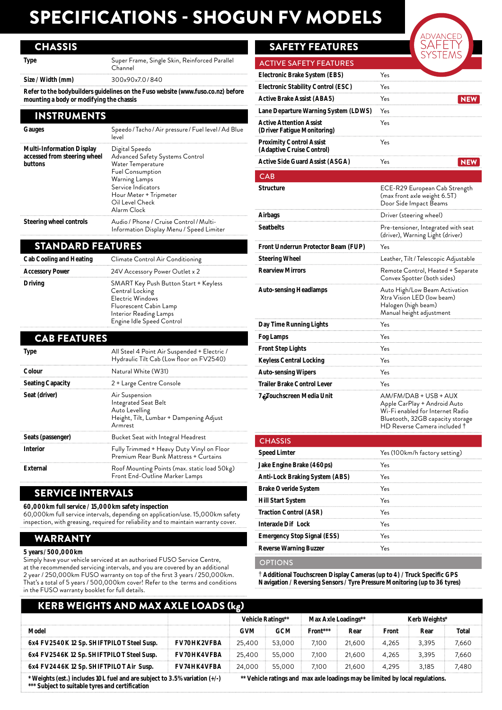### SPECIFICATIONS - SHOGUN FV MODELS

#### **CHASSIS**

| Size / Width (mm) | 300x90x7.0/840                                           |
|-------------------|----------------------------------------------------------|
| Type              | Super Frame, Single Skin, Reinforced Parallel<br>Channel |

**Refer to the bodybuilders guidelines on the Fuso website (www.fuso.co.nz) before mounting a body or modifying the chassis**

#### INSTRUMENTS

| Gauges                                                               | Speedo / Tacho / Air pressure / Fuel level / Ad Blue<br>level                                                                                                                                        |
|----------------------------------------------------------------------|------------------------------------------------------------------------------------------------------------------------------------------------------------------------------------------------------|
| Multi-Information Display<br>accessed from steering wheel<br>buttons | Digital Speedo<br>Advanced Safety Systems Control<br>Water Temperature<br><b>Fuel Consumption</b><br>Warning Lamps<br>Service Indicators<br>Hour Meter + Tripmeter<br>Oil Level Check<br>Alarm Clock |
| Steering wheel controls                                              | Audio / Phone / Cruise Control / Multi-<br>Information Display Menu / Speed Limiter                                                                                                                  |

#### STANDARD FEATURES

| <b>Cab Cooling and Heating</b> | Climate Control Air Conditioning                                                                                                                              |  |
|--------------------------------|---------------------------------------------------------------------------------------------------------------------------------------------------------------|--|
| <b>Accessory Power</b>         | 24V Accessory Power Outlet x 2                                                                                                                                |  |
| Driving                        | SMART Key Push Button Start + Keyless<br>Central Locking<br>Electric Windows<br>Fluorescent Cabin Lamp<br>Interior Reading Lamps<br>Engine Idle Speed Control |  |

| <b>CAB FEATURES</b>     |                                                                                                                |
|-------------------------|----------------------------------------------------------------------------------------------------------------|
| <b>Type</b>             | All Steel 4 Point Air Suspended + Electric /<br>Hydraulic Tilt Cab (Low floor on FV2540)                       |
| Colour                  | Natural White (W31)                                                                                            |
| <b>Seating Capacity</b> | 2 + Large Centre Console                                                                                       |
| Seat (driver)           | Air Suspension<br>Integrated Seat Belt<br>Auto Levelling<br>Height, Tilt, Lumbar + Dampening Adjust<br>Armrest |
| Seats (passenger)       | Bucket Seat with Integral Headrest                                                                             |
| Interior                | Fully Trimmed + Heavy Duty Vinyl on Floor<br>Premium Rear Bunk Mattress + Curtains                             |
| External                | Roof Mounting Points (max. static load 50kg)<br>Front End-Outline Marker Lamps                                 |

#### SERVICE INTERVALS

#### **60,000km full service / 15,000km safety inspection**

60,000km full service intervals, depending on application/use. 15,000km safety inspection, with greasing, required for reliability and to maintain warranty cover.

#### WARRANTY

#### **5 years / 500,000km**

Simply have your vehicle serviced at an authorised FUSO Service Centre, at the recommended servicing intervals, and you are covered by an additional 2 year / 250,000km FUSO warranty on top of the first 3 years / 250,000km. That's a total of 5 years / 500,000km cover! Refer to the terms and conditions in the FUSO warranty booklet for full details.

#### SAFETY FEATURES

 $CAR$ 



#### **Speed Limter Yes** (100km/h factory setting) **Jake Engine Brake (460ps)** Yes **Anti-Lock Braking System (ABS)** Yes **Brake Overide System** Yes **Hill Start System** Yes **Traction Control (ASR)** Yes **Interaxle Diff Lock** Yes **Emergency Stop Signal (ESS)** Yes **Reverse Warning Buzzer** Yes

**OPTIONS** 

† **Additional Touchscreen Display Cameras (up to 4) / Truck Specific GPS Navigation / Reversing Sensors / Tyre Pressure Monitoring (up to 36 tyres)**

| <b>KERB WEIGHTS AND MAX AXLE LOADS (kg)</b>                                                                                                                                                                    |                    |                                          |            |               |        |       |       |       |  |
|----------------------------------------------------------------------------------------------------------------------------------------------------------------------------------------------------------------|--------------------|------------------------------------------|------------|---------------|--------|-------|-------|-------|--|
|                                                                                                                                                                                                                |                    | Vehicle Ratings**<br>Max Axle Loadings** |            | Kerb Weights* |        |       |       |       |  |
| Model                                                                                                                                                                                                          |                    | <b>GVM</b>                               | <b>GCM</b> | Front***      | Rear   | Front | Rear  | Total |  |
| 6x4 FV2540K 12 Sp. SHIFTPILOT Steel Susp.                                                                                                                                                                      | <b>FV70HK2VFBA</b> | 25,400                                   | 53,000     | 7.100         | 21,600 | 4.265 | 3.395 | 7,660 |  |
| 6x4 FV2546K 12 Sp. SHIFTPILOT Steel Susp.                                                                                                                                                                      | <b>FV70HK4VFBA</b> | 25,400                                   | 55,000     | 7.100         | 21,600 | 4.265 | 3.395 | 7,660 |  |
| 6x4 FV2446K 12 Sp. SHIFTPILOT Air Susp.                                                                                                                                                                        | <b>FV74HK4VFBA</b> | 24,000                                   | 55,000     | 7.100         | 21,600 | 4.295 | 3.185 | 7,480 |  |
| ** Vehicle ratings and max axle loadings may be limited by local regulations.<br>* Weights (est.) includes 10L fuel and are subject to 3.5% variation (+/-)<br>*** Subject to suitable tyres and certification |                    |                                          |            |               |        |       |       |       |  |